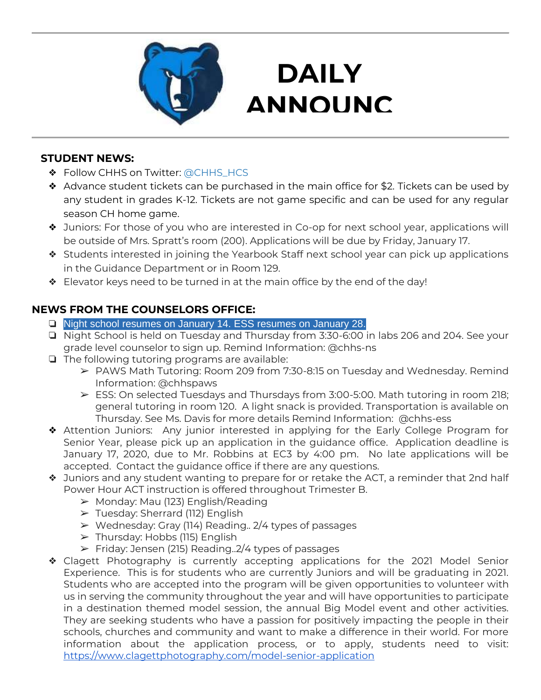

## **DAILY ANNOUNC**

**EMENTS** 

### **STUDENT NEWS:**

- ❖ Follow CHHS on Twitter: [@CHHS\\_HCS](https://twitter.com/CHHS_HCS)
- ❖ Advance student tickets can be purchased in the main office for \$2. Tickets can be used by any student in grades K-12. Tickets are not game specific and can be used for any regular season CH home game.
- ❖ Juniors: For those of you who are interested in Co-op for next school year, applications will be outside of Mrs. Spratt's room (200). Applications will be due by Friday, January 17.
- ❖ Students interested in joining the Yearbook Staff next school year can pick up applications in the Guidance Department or in Room 129.
- ❖ Elevator keys need to be turned in at the main office by the end of the day!

### **NEWS FROM THE COUNSELORS OFFICE:**

- ❏ Night school resumes on January 14. ESS resumes on January 28.
- ❏ Night School is held on Tuesday and Thursday from 3:30-6:00 in labs 206 and 204. See your grade level counselor to sign up. Remind Information: @chhs-ns
- ❏ The following tutoring programs are available:
	- ➢ PAWS Math Tutoring: Room 209 from 7:30-8:15 on Tuesday and Wednesday. Remind Information: @chhspaws
	- $\triangleright$  ESS: On selected Tuesdays and Thursdays from 3:00-5:00. Math tutoring in room 218; general tutoring in room 120. A light snack is provided. Transportation is available on Thursday. See Ms. Davis for more details Remind Information: @chhs-ess
- ❖ Attention Juniors: Any junior interested in applying for the Early College Program for Senior Year, please pick up an application in the guidance office. Application deadline is January 17, 2020, due to Mr. Robbins at EC3 by 4:00 pm. No late applications will be accepted. Contact the guidance office if there are any questions.
- ❖ Juniors and any student wanting to prepare for or retake the ACT, a reminder that 2nd half Power Hour ACT instruction is offered throughout Trimester B.
	- ➢ Monday: Mau (123) English/Reading
	- ➢ Tuesday: Sherrard (112) English
	- ➢ Wednesday: Gray (114) Reading.. 2/4 types of passages
	- ➢ Thursday: Hobbs (115) English
	- $\triangleright$  Friday: Jensen (215) Reading. 2/4 types of passages
- ❖ Clagett Photography is currently accepting applications for the 2021 Model Senior Experience. This is for students who are currently Juniors and will be graduating in 2021. Students who are accepted into the program will be given opportunities to volunteer with us in serving the community throughout the year and will have opportunities to participate in a destination themed model session, the annual Big Model event and other activities. They are seeking students who have a passion for positively impacting the people in their schools, churches and community and want to make a difference in their world. For more information about the application process, or to apply, students need to visit: <https://www.clagettphotography.com/model-senior-application>